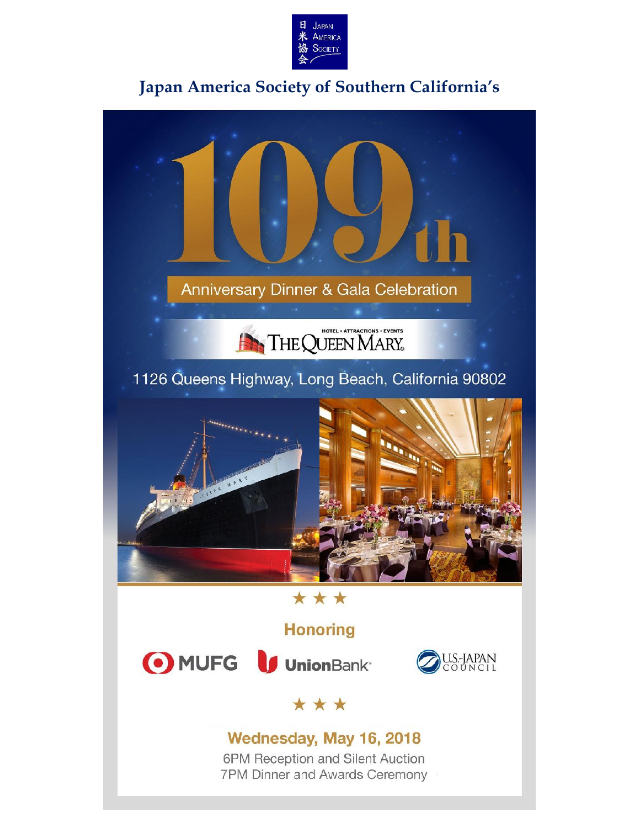

## **Japan America Society of Southern California's**

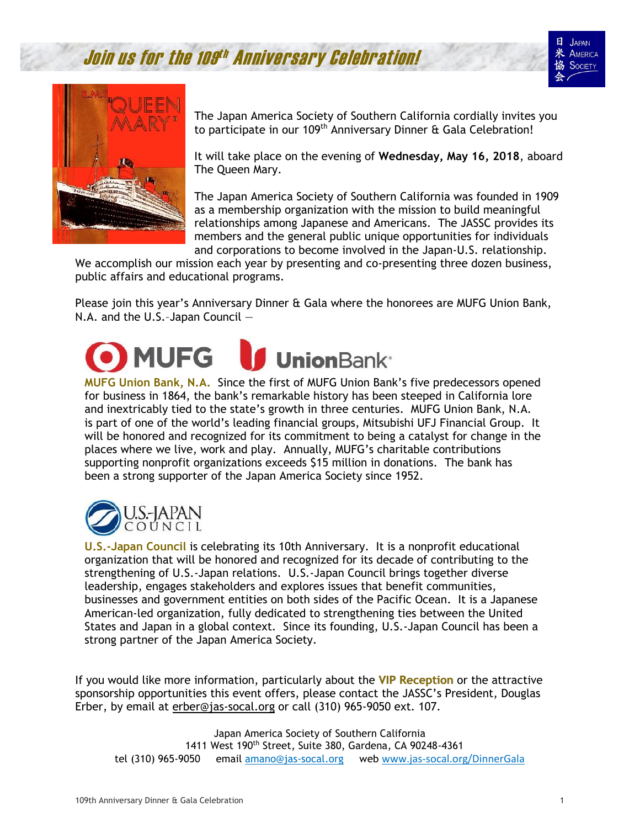Join us for the 109th Anniversary Celebration!





The Japan America Society of Southern California cordially invites you to participate in our 109<sup>th</sup> Anniversary Dinner & Gala Celebration!

It will take place on the evening of **Wednesday, May 16, 2018**, aboard The Queen Mary.

The Japan America Society of Southern California was founded in 1909 as a membership organization with the mission to build meaningful relationships among Japanese and Americans. The JASSC provides its members and the general public unique opportunities for individuals and corporations to become involved in the Japan-U.S. relationship.

We accomplish our mission each year by presenting and co-presenting three dozen business, public affairs and educational programs.

Please join this year's Anniversary Dinner & Gala where the honorees are MUFG Union Bank, N.A. and the U.S.–Japan Council —

## **MUFG UnionBank**<sup>®</sup>

**MUFG Union Bank, N.A.** Since the first of MUFG Union Bank's five predecessors opened for business in 1864, the bank's remarkable history has been steeped in California lore and inextricably tied to the state's growth in three centuries. MUFG Union Bank, N.A. is part of one of the world's leading financial groups, Mitsubishi UFJ Financial Group. It will be honored and recognized for its commitment to being a catalyst for change in the places where we live, work and play. Annually, MUFG's charitable contributions supporting nonprofit organizations exceeds \$15 million in donations. The bank has been a strong supporter of the Japan America Society since 1952.



**U.S.-Japan Council** is celebrating its 10th Anniversary. It is a nonprofit educational organization that will be honored and recognized for its decade of contributing to the strengthening of U.S.-Japan relations. U.S.-Japan Council brings together diverse leadership, engages stakeholders and explores issues that benefit communities, businesses and government entities on both sides of the Pacific Ocean. It is a Japanese American-led organization, fully dedicated to strengthening ties between the United States and Japan in a global context. Since its founding, U.S.-Japan Council has been a strong partner of the Japan America Society.

If you would like more information, particularly about the **VIP Reception** or the attractive sponsorship opportunities this event offers, please contact the JASSC's President, Douglas Erber, by email at [erber@jas-socal.org](mailto:erber@jas-socal.org) or call (310) 965-9050 ext. 107.

Japan America Society of Southern California 1411 West 190th Street, Suite 380, Gardena, CA 90248-4361 tel (310) 965-9050 email [amano@jas-socal.org](mailto:JAS108Gala@jas-socal.org) web [www.jas-socal.org/DinnerGala](http://www.jas-socal.org/DinnerGala)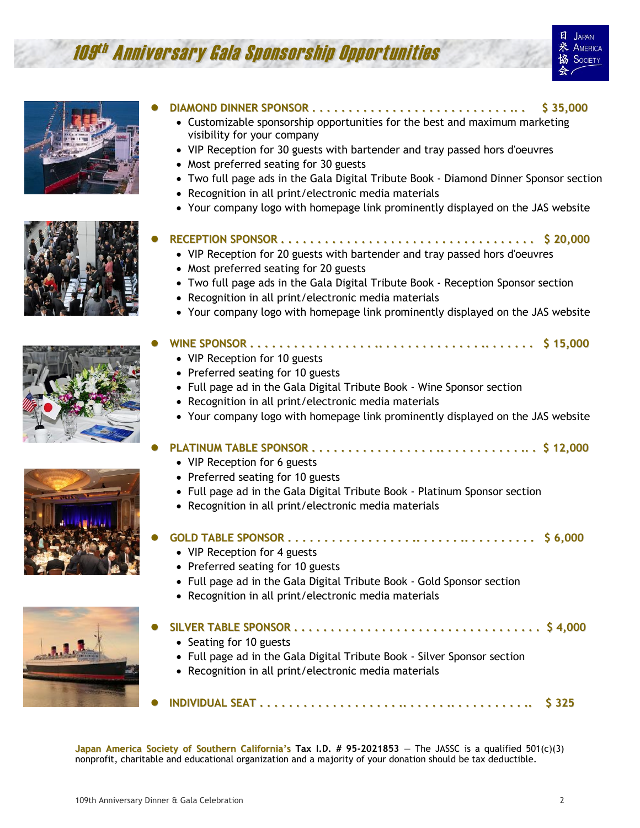# 109<sup>th</sup> Anniversary Gala Sponsorship Opportunities





- **DIAMOND DINNER SPONSOR . . . . . . . . . . . . . . . . . . . . . . . . . . . .. . \$ 35,000**
	- Customizable sponsorship opportunities for the best and maximum marketing visibility for your company
	- VIP Reception for 30 guests with bartender and tray passed hors d'oeuvres
	- Most preferred seating for 30 guests
	- Two full page ads in the Gala Digital Tribute Book Diamond Dinner Sponsor section
	- Recognition in all print/electronic media materials
	- Your company logo with homepage link prominently displayed on the JAS website

### **RECEPTION SPONSOR . . . . . . . . . . . . . . . . . . . . . . . . . . . . . . . . . . . \$ 20,000**

- VIP Reception for 20 guests with bartender and tray passed hors d'oeuvres
- Most preferred seating for 20 guests
- Two full page ads in the Gala Digital Tribute Book Reception Sponsor section
- Recognition in all print/electronic media materials
- Your company logo with homepage link prominently displayed on the JAS website



## **WINE SPONSOR . . . . . . . . . . . . . . . . . .. . . . . . . . . . . . . . .. . . . . . . \$ 15,000**

- VIP Reception for 10 guests
- Preferred seating for 10 guests
- Full page ad in the Gala Digital Tribute Book Wine Sponsor section
- Recognition in all print/electronic media materials
- Your company logo with homepage link prominently displayed on the JAS website

### **PLATINUM TABLE SPONSOR . . . . . . . . . . . . . . . . . .. . . . . . . . . . . .. . \$ 12,000**

- VIP Reception for 6 guests
- Preferred seating for 10 guests
- Full page ad in the Gala Digital Tribute Book Platinum Sponsor section
- Recognition in all print/electronic media materials
- **GOLD TABLE SPONSOR . . . . . . . . . . . . . . . . . .. . . . . . .. . . . . . . . . . \$ 6,000** • VIP Reception for 4 guests
	- Preferred seating for 10 guests
	- Full page ad in the Gala Digital Tribute Book Gold Sponsor section
	- Recognition in all print/electronic media materials



| • Seating for 10 guests                                                  |  |
|--------------------------------------------------------------------------|--|
| • Full page ad in the Gala Digital Tribute Book - Silver Sponsor section |  |
| • Recognition in all print/electronic media materials                    |  |
|                                                                          |  |

**INDIVIDUAL SEAT . . . . . . . . . . . . . . . . . . . .. . . . . . .. . . . . . . . . . .. \$ 325**

**Japan** America Society of Southern California's Tax I.D. # 95-2021853 - The JASSC is a qualified  $501(c)(3)$ nonprofit, charitable and educational organization and a majority of your donation should be tax deductible.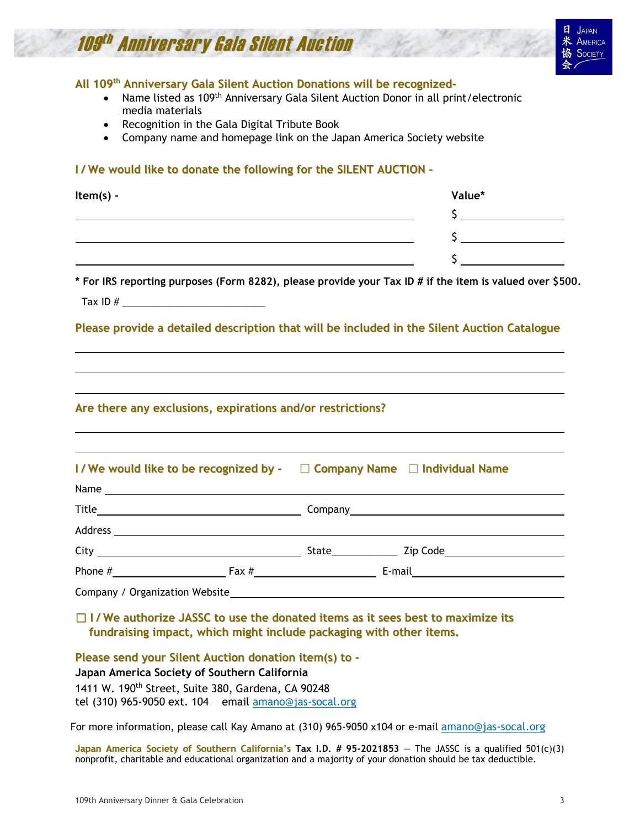# 109<sup>th</sup> Anniversary Gala Silent Auction



#### **All 109 th Anniversary Gala Silent Auction Donations will be recognized-**

- Name listed as 109<sup>th</sup> Anniversary Gala Silent Auction Donor in all print/electronic media materials
- Recognition in the Gala Digital Tribute Book
- Company name and homepage link on the Japan America Society website

#### **I / We would like to donate the following for the SILENT AUCTION -**

| Item(s) - | Value* |
|-----------|--------|
|           |        |
|           |        |
|           |        |
|           |        |

**\* For IRS reporting purposes (Form 8282), please provide your Tax ID # if the item is valued over \$500.** 

Tax ID  $#$ 

#### **Please provide a detailed description that will be included in the Silent Auction Catalogue**

#### **Are there any exclusions, expirations and/or restrictions?**

#### **I / We would like to be recognized by -** □ **Company Name** □ **Individual Name**

| Company / Organization Website |  |  |
|--------------------------------|--|--|

#### □ **I / We authorize JASSC to use the donated items as it sees best to maximize its fundraising impact, which might include packaging with other items.**

**Please send your Silent Auction donation item(s) to -**

**Japan America Society of Southern California**

1411 W. 190<sup>th</sup> Street, Suite 380, Gardena, CA 90248

tel (310) 965-9050 ext. 104 email [amano@jas-socal.org](mailto:amano@jas-socal.org)

For more information, please call Kay Amano at (310) 965-9050 x104 or e-mail [amano@jas-socal.org](mailto:JAS108Gala@jas-socal.org)

**Japan** America Society of Southern California's Tax I.D. # 95-2021853 - The JASSC is a qualified  $501(c)(3)$ nonprofit, charitable and educational organization and a majority of your donation should be tax deductible.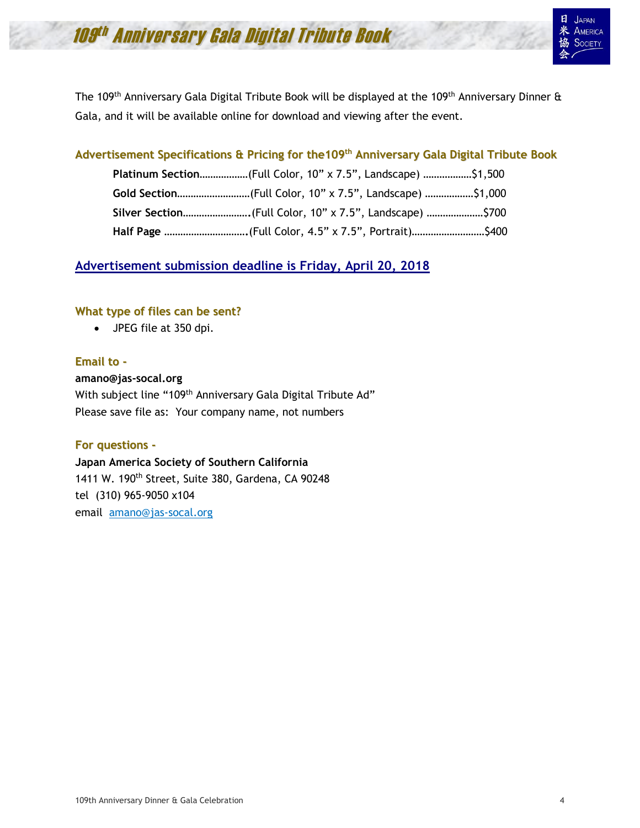# 109<sup>th</sup> Anniversary Gala Digital Tribute Book

The 109<sup>th</sup> Anniversary Gala Digital Tribute Book will be displayed at the 109<sup>th</sup> Anniversary Dinner & Gala, and it will be available online for download and viewing after the event.

#### **Advertisement Specifications & Pricing for the109 th Anniversary Gala Digital Tribute Book**

| Platinum Section(Full Color, 10" x 7.5", Landscape) \$1,500 |  |
|-------------------------------------------------------------|--|
| Gold Section(Full Color, 10" x 7.5", Landscape) \$1,000     |  |
| Silver Section (Full Color, 10" x 7.5", Landscape) \$700    |  |
|                                                             |  |

### **Advertisement submission deadline is Friday, April 20, 2018**

#### **What type of files can be sent?**

• JPEG file at 350 dpi.

#### **Email to -**

**amano@jas-socal.org**  With subject line "109<sup>th</sup> Anniversary Gala Digital Tribute Ad" Please save file as: Your company name, not numbers

#### **For questions -**

**Japan America Society of Southern California**  1411 W. 190<sup>th</sup> Street, Suite 380, Gardena, CA 90248 tel (310) 965-9050 x104 email [amano@jas-socal.org](mailto:JAS108Gala@jas-socal.org)